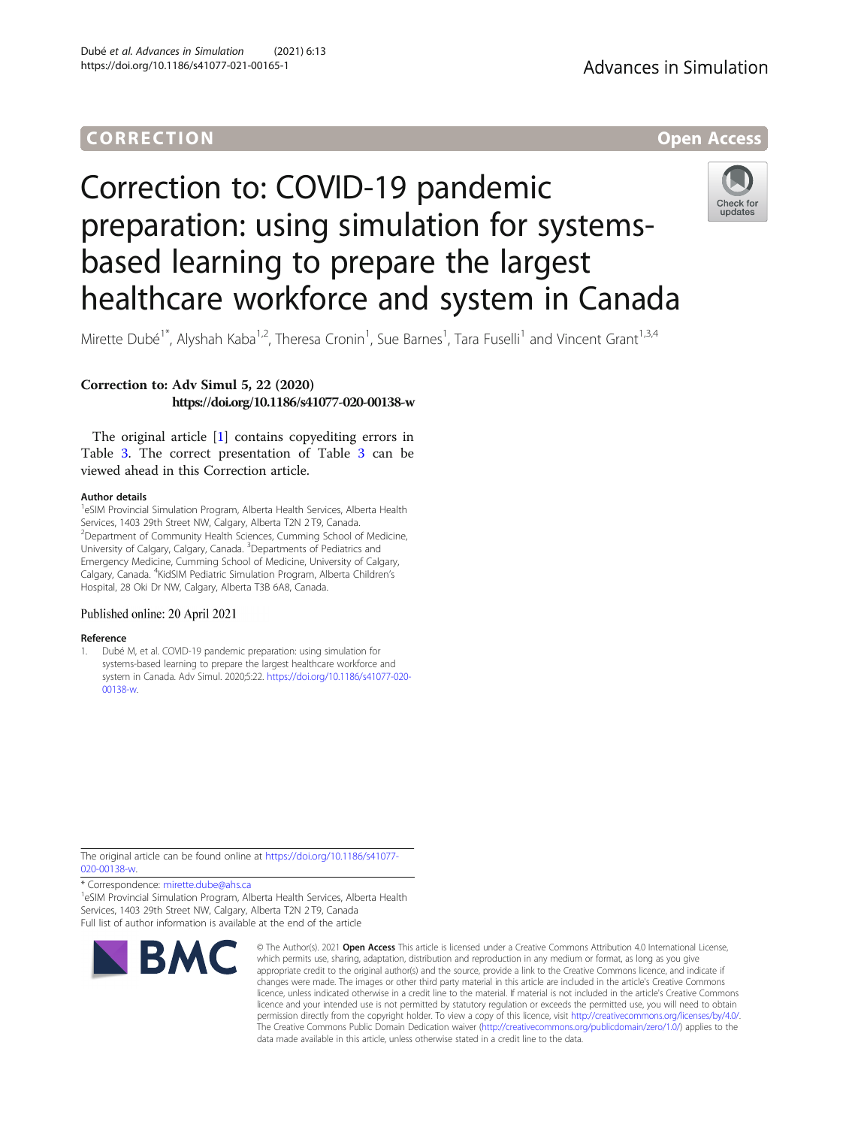## **CORRECTION CORRECTION**



# Correction to: COVID-19 pandemic preparation: using simulation for systemsbased learning to prepare the largest healthcare workforce and system in Canada



Mirette Dubé<sup>1\*</sup>, Alyshah Kaba<sup>1,2</sup>, Theresa Cronin<sup>1</sup>, Sue Barnes<sup>1</sup>, Tara Fuselli<sup>1</sup> and Vincent Grant<sup>1,3,4</sup>

### Correction to: Adv Simul 5, 22 (2020) https://doi.org/10.1186/s41077-020-00138-w

The original article [1] contains copyediting errors in Table [3.](#page-1-0) The correct presentation of Table [3](#page-1-0) can be viewed ahead in this Correction article.

#### Author details

<sup>1</sup>eSIM Provincial Simulation Program, Alberta Health Services, Alberta Health Services, 1403 29th Street NW, Calgary, Alberta T2N 2 T9, Canada. <sup>2</sup>Department of Community Health Sciences, Cumming School of Medicine, University of Calgary, Calgary, Canada. <sup>3</sup>Departments of Pediatrics and Emergency Medicine, Cumming School of Medicine, University of Calgary, Calgary, Canada. <sup>4</sup>KidSIM Pediatric Simulation Program, Alberta Children's Hospital, 28 Oki Dr NW, Calgary, Alberta T3B 6A8, Canada.

#### Published online: 20 April 2021

#### Reference

1. Dubé M, et al. COVID-19 pandemic preparation: using simulation for systems-based learning to prepare the largest healthcare workforce and system in Canada. Adv Simul. 2020;5:22. [https://doi.org/10.1186/s41077-020-](https://doi.org/10.1186/s41077-020-00138-w) [00138-w.](https://doi.org/10.1186/s41077-020-00138-w)

The original article can be found online at [https://doi.org/10.1186/s41077-](https://doi.org/10.1186/s41077-020-00138-w) [020-00138-w](https://doi.org/10.1186/s41077-020-00138-w).

\* Correspondence: [mirette.dube@ahs.ca](mailto:mirette.dube@ahs.ca) <sup>1</sup>

<sup>1</sup>eSIM Provincial Simulation Program, Alberta Health Services, Alberta Health Services, 1403 29th Street NW, Calgary, Alberta T2N 2 T9, Canada Full list of author information is available at the end of the article



© The Author(s), 2021 **Open Access** This article is licensed under a Creative Commons Attribution 4.0 International License, which permits use, sharing, adaptation, distribution and reproduction in any medium or format, as long as you give appropriate credit to the original author(s) and the source, provide a link to the Creative Commons licence, and indicate if changes were made. The images or other third party material in this article are included in the article's Creative Commons licence, unless indicated otherwise in a credit line to the material. If material is not included in the article's Creative Commons licence and your intended use is not permitted by statutory regulation or exceeds the permitted use, you will need to obtain permission directly from the copyright holder. To view a copy of this licence, visit [http://creativecommons.org/licenses/by/4.0/.](http://creativecommons.org/licenses/by/4.0/) The Creative Commons Public Domain Dedication waiver [\(http://creativecommons.org/publicdomain/zero/1.0/](http://creativecommons.org/publicdomain/zero/1.0/)) applies to the data made available in this article, unless otherwise stated in a credit line to the data.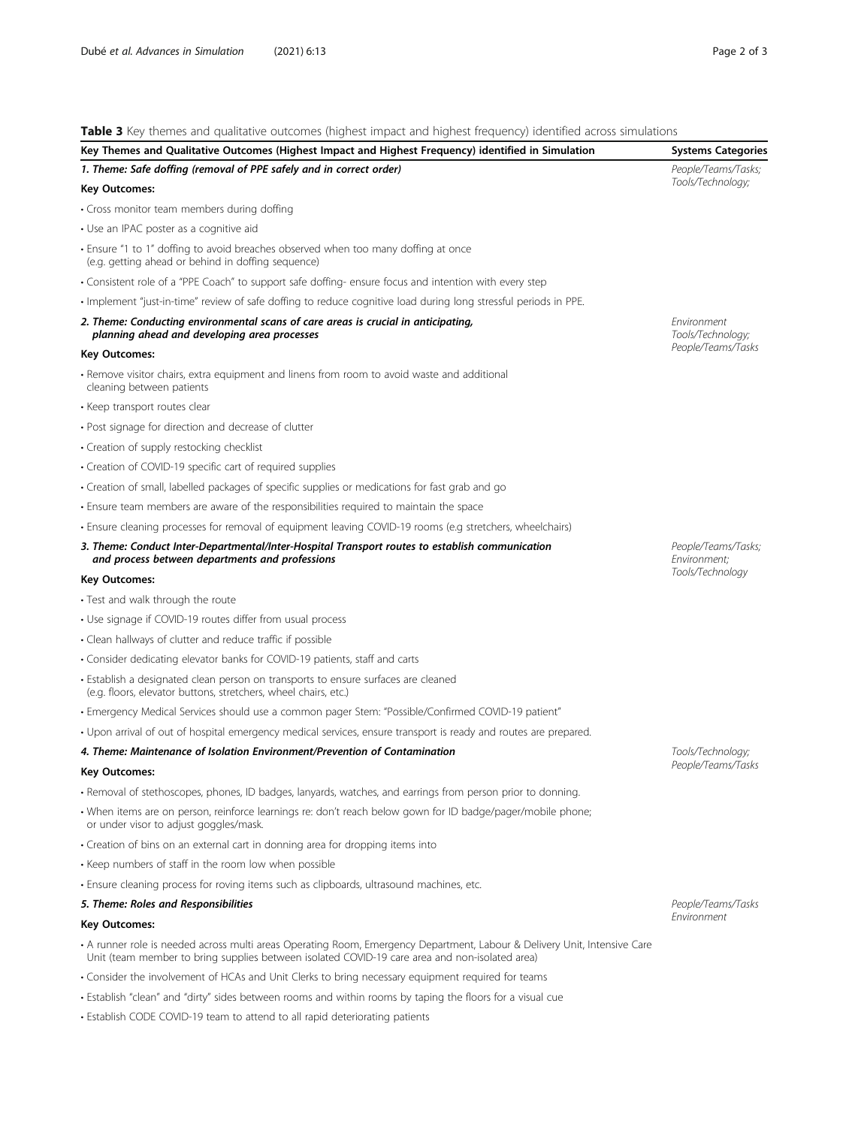<span id="page-1-0"></span>Table 3 Key themes and qualitative outcomes (highest impact and highest frequency) identified across simulations

| Table 5 Ney themes and qualitative outcomes (inquest impact and mighest hequency) identified across simulations                                                                                                             |                                                        |
|-----------------------------------------------------------------------------------------------------------------------------------------------------------------------------------------------------------------------------|--------------------------------------------------------|
| Key Themes and Qualitative Outcomes (Highest Impact and Highest Frequency) identified in Simulation                                                                                                                         | <b>Systems Categories</b>                              |
| 1. Theme: Safe doffing (removal of PPE safely and in correct order)<br><b>Key Outcomes:</b>                                                                                                                                 | People/Teams/Tasks;<br>Tools/Technology;               |
| • Cross monitor team members during doffing                                                                                                                                                                                 |                                                        |
| • Use an IPAC poster as a cognitive aid                                                                                                                                                                                     |                                                        |
| • Ensure "1 to 1" doffing to avoid breaches observed when too many doffing at once                                                                                                                                          |                                                        |
| (e.g. getting ahead or behind in doffing sequence)                                                                                                                                                                          |                                                        |
| • Consistent role of a "PPE Coach" to support safe doffing- ensure focus and intention with every step                                                                                                                      |                                                        |
| · Implement "just-in-time" review of safe doffing to reduce cognitive load during long stressful periods in PPE.                                                                                                            |                                                        |
| 2. Theme: Conducting environmental scans of care areas is crucial in anticipating,<br>planning ahead and developing area processes                                                                                          | Environment<br>Tools/Technology;<br>People/Teams/Tasks |
| Key Outcomes:                                                                                                                                                                                                               |                                                        |
| • Remove visitor chairs, extra equipment and linens from room to avoid waste and additional<br>cleaning between patients                                                                                                    |                                                        |
| • Keep transport routes clear                                                                                                                                                                                               |                                                        |
| • Post signage for direction and decrease of clutter                                                                                                                                                                        |                                                        |
| • Creation of supply restocking checklist                                                                                                                                                                                   |                                                        |
| • Creation of COVID-19 specific cart of required supplies                                                                                                                                                                   |                                                        |
| • Creation of small, labelled packages of specific supplies or medications for fast grab and go                                                                                                                             |                                                        |
| · Ensure team members are aware of the responsibilities required to maintain the space                                                                                                                                      |                                                        |
| · Ensure cleaning processes for removal of equipment leaving COVID-19 rooms (e.g stretchers, wheelchairs)                                                                                                                   |                                                        |
| 3. Theme: Conduct Inter-Departmental/Inter-Hospital Transport routes to establish communication<br>and process between departments and professions                                                                          | People/Teams/Tasks;<br>Environment;                    |
| <b>Key Outcomes:</b>                                                                                                                                                                                                        | Tools/Technology                                       |
| • Test and walk through the route                                                                                                                                                                                           |                                                        |
| • Use signage if COVID-19 routes differ from usual process                                                                                                                                                                  |                                                        |
| • Clean hallways of clutter and reduce traffic if possible                                                                                                                                                                  |                                                        |
| • Consider dedicating elevator banks for COVID-19 patients, staff and carts                                                                                                                                                 |                                                        |
| • Establish a designated clean person on transports to ensure surfaces are cleaned<br>(e.g. floors, elevator buttons, stretchers, wheel chairs, etc.)                                                                       |                                                        |
| · Emergency Medical Services should use a common pager Stem: "Possible/Confirmed COVID-19 patient"                                                                                                                          |                                                        |
| • Upon arrival of out of hospital emergency medical services, ensure transport is ready and routes are prepared.                                                                                                            |                                                        |
| 4. Theme: Maintenance of Isolation Environment/Prevention of Contamination                                                                                                                                                  | Tools/Technology;                                      |
| <b>Key Outcomes:</b>                                                                                                                                                                                                        | People/Teams/Tasks                                     |
| · Removal of stethoscopes, phones, ID badges, lanyards, watches, and earrings from person prior to donning.                                                                                                                 |                                                        |
| · When items are on person, reinforce learnings re: don't reach below gown for ID badge/pager/mobile phone;<br>or under visor to adjust goggles/mask.                                                                       |                                                        |
| • Creation of bins on an external cart in donning area for dropping items into                                                                                                                                              |                                                        |
| • Keep numbers of staff in the room low when possible                                                                                                                                                                       |                                                        |
| · Ensure cleaning process for roving items such as clipboards, ultrasound machines, etc.                                                                                                                                    |                                                        |
| 5. Theme: Roles and Responsibilities                                                                                                                                                                                        | People/Teams/Tasks                                     |
| <b>Key Outcomes:</b>                                                                                                                                                                                                        | Environment                                            |
| • A runner role is needed across multi areas Operating Room, Emergency Department, Labour & Delivery Unit, Intensive Care<br>Unit (team member to bring supplies between isolated COVID-19 care area and non-isolated area) |                                                        |
| • Consider the involvement of HCAs and Unit Clerks to bring necessary equipment required for teams                                                                                                                          |                                                        |
| · Establish "clean" and "dirty" sides between rooms and within rooms by taping the floors for a visual cue                                                                                                                  |                                                        |
| • Establish CODE COVID-19 team to attend to all rapid deteriorating patients                                                                                                                                                |                                                        |